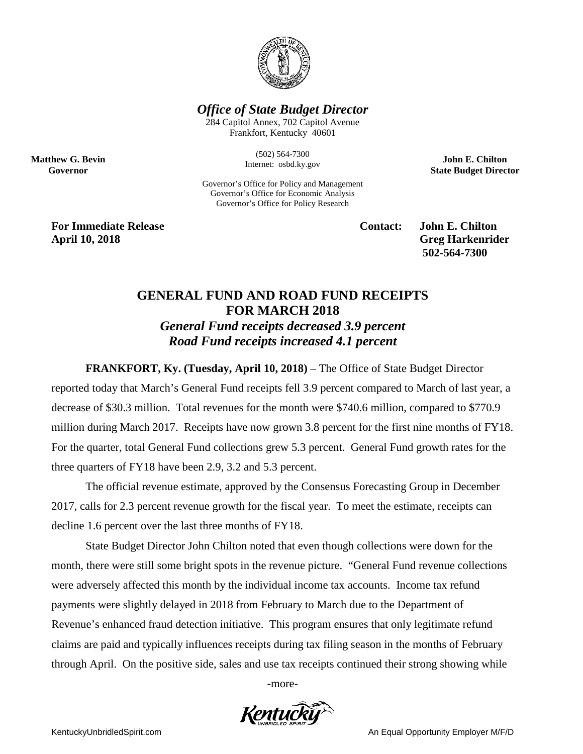

## *Office of State Budget Director*

284 Capitol Annex, 702 Capitol Avenue Frankfort, Kentucky 40601

> (502) 564-7300 Internet: osbd.ky.gov

Governor's Office for Policy and Management Governor's Office for Economic Analysis Governor's Office for Policy Research

**John E. Chilton State Budget Director**

**For Immediate Release Contact: John E. Chilton April 10, 2018 Greg Harkenrider**

**Matthew G. Bevin Governor**

**502-564-7300** 

## **GENERAL FUND AND ROAD FUND RECEIPTS FOR MARCH 2018** *General Fund receipts decreased 3.9 percent*

*Road Fund receipts increased 4.1 percent*

**FRANKFORT, Ky. (Tuesday, April 10, 2018)** – The Office of State Budget Director

reported today that March's General Fund receipts fell 3.9 percent compared to March of last year, a decrease of \$30.3 million. Total revenues for the month were \$740.6 million, compared to \$770.9 million during March 2017. Receipts have now grown 3.8 percent for the first nine months of FY18. For the quarter, total General Fund collections grew 5.3 percent. General Fund growth rates for the three quarters of FY18 have been 2.9, 3.2 and 5.3 percent.

The official revenue estimate, approved by the Consensus Forecasting Group in December 2017, calls for 2.3 percent revenue growth for the fiscal year. To meet the estimate, receipts can decline 1.6 percent over the last three months of FY18.

State Budget Director John Chilton noted that even though collections were down for the month, there were still some bright spots in the revenue picture. "General Fund revenue collections were adversely affected this month by the individual income tax accounts. Income tax refund payments were slightly delayed in 2018 from February to March due to the Department of Revenue's enhanced fraud detection initiative. This program ensures that only legitimate refund claims are paid and typically influences receipts during tax filing season in the months of February through April. On the positive side, sales and use tax receipts continued their strong showing while

-more-



KentuckyUnbridledSpirit.com **An Equal Opportunity Employer M/F/D** An Equal Opportunity Employer M/F/D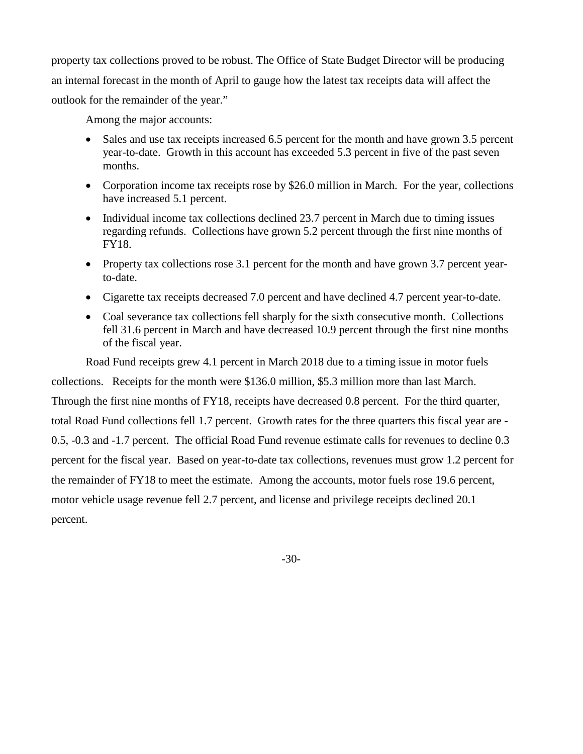property tax collections proved to be robust. The Office of State Budget Director will be producing an internal forecast in the month of April to gauge how the latest tax receipts data will affect the outlook for the remainder of the year."

Among the major accounts:

- Sales and use tax receipts increased 6.5 percent for the month and have grown 3.5 percent year-to-date. Growth in this account has exceeded 5.3 percent in five of the past seven months.
- Corporation income tax receipts rose by \$26.0 million in March. For the year, collections have increased 5.1 percent.
- Individual income tax collections declined 23.7 percent in March due to timing issues regarding refunds. Collections have grown 5.2 percent through the first nine months of FY18.
- Property tax collections rose 3.1 percent for the month and have grown 3.7 percent yearto-date.
- Cigarette tax receipts decreased 7.0 percent and have declined 4.7 percent year-to-date.
- Coal severance tax collections fell sharply for the sixth consecutive month. Collections fell 31.6 percent in March and have decreased 10.9 percent through the first nine months of the fiscal year.

Road Fund receipts grew 4.1 percent in March 2018 due to a timing issue in motor fuels collections. Receipts for the month were \$136.0 million, \$5.3 million more than last March. Through the first nine months of FY18, receipts have decreased 0.8 percent. For the third quarter, total Road Fund collections fell 1.7 percent. Growth rates for the three quarters this fiscal year are - 0.5, -0.3 and -1.7 percent. The official Road Fund revenue estimate calls for revenues to decline 0.3 percent for the fiscal year. Based on year-to-date tax collections, revenues must grow 1.2 percent for the remainder of FY18 to meet the estimate. Among the accounts, motor fuels rose 19.6 percent,

motor vehicle usage revenue fell 2.7 percent, and license and privilege receipts declined 20.1 percent.

-30-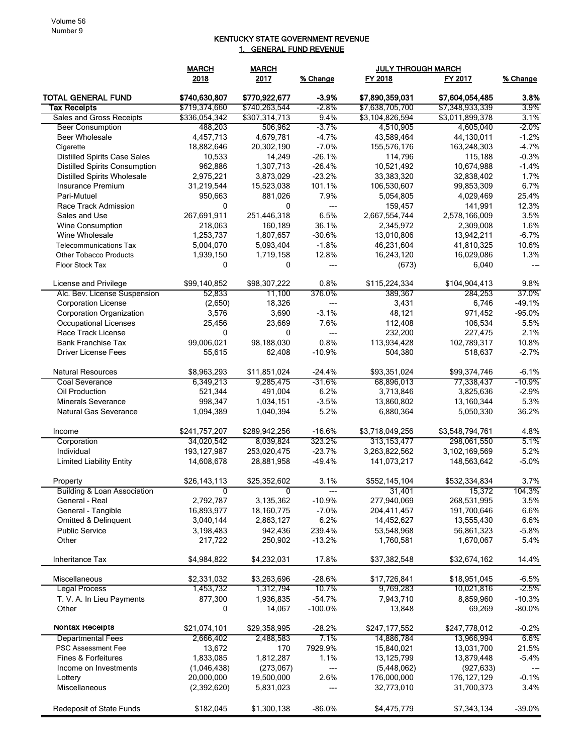## KENTUCKY STATE GOVERNMENT REVENUE 1. GENERAL FUND REVENUE

|                                        | <b>MARCH</b><br><b>MARCH</b> |               |            | <b>JULY THROUGH MARCH</b> |                  |          |
|----------------------------------------|------------------------------|---------------|------------|---------------------------|------------------|----------|
|                                        | 2018                         | 2017          | % Change   | FY 2018                   | FY 2017          | % Change |
| <b>TOTAL GENERAL FUND</b>              | \$740,630,807                | \$770,922,677 | $-3.9%$    | \$7,890,359,031           | \$7,604,054,485  | 3.8%     |
| <b>Tax Receipts</b>                    | \$719,374,660                | \$740,263,544 | $-2.8\%$   | \$7,638,705,700           | \$7,348,933,339  | 3.9%     |
| Sales and Gross Receipts               | \$336,054,342                | \$307,314,713 | 9.4%       | \$3,104,826,594           | \$3,011,899,378  | 3.1%     |
| <b>Beer Consumption</b>                | 488,203                      | 506,962       | -3.7%      | 4,510,905                 | 4,605,040        | -2.0%    |
| Beer Wholesale                         | 4,457,713                    | 4,679,781     | $-4.7%$    | 43,589,464                | 44,130,011       | $-1.2%$  |
| Cigarette                              | 18,882,646                   | 20,302,190    | $-7.0%$    | 155,576,176               | 163,248,303      | $-4.7%$  |
| <b>Distilled Spirits Case Sales</b>    | 10,533                       | 14,249        | $-26.1%$   | 114,796                   | 115,188          | $-0.3%$  |
| <b>Distilled Spirits Consumption</b>   | 962,886                      | 1,307,713     | $-26.4%$   | 10,521,492                | 10,674,988       | $-1.4%$  |
| <b>Distilled Spirits Wholesale</b>     | 2,975,221                    | 3,873,029     | $-23.2%$   | 33,383,320                | 32,838,402       | 1.7%     |
| Insurance Premium                      | 31,219,544                   | 15,523,038    | 101.1%     | 106,530,607               | 99,853,309       | 6.7%     |
| Pari-Mutuel                            | 950,663                      | 881,026       | 7.9%       | 5,054,805                 | 4,029,469        | 25.4%    |
| Race Track Admission                   | 0                            | 0             | ---        | 159,457                   | 141,991          | 12.3%    |
| Sales and Use                          | 267,691,911                  | 251,446,318   | 6.5%       | 2,667,554,744             | 2,578,166,009    | 3.5%     |
| Wine Consumption                       | 218,063                      | 160,189       | 36.1%      | 2,345,972                 | 2,309,008        | 1.6%     |
| Wine Wholesale                         | 1,253,737                    | 1,807,657     | $-30.6%$   | 13,010,806                | 13,942,211       | $-6.7%$  |
| <b>Telecommunications Tax</b>          | 5,004,070                    | 5,093,404     | $-1.8%$    | 46,231,604                | 41,810,325       | 10.6%    |
| <b>Other Tobacco Products</b>          | 1,939,150                    | 1,719,158     | 12.8%      | 16,243,120                | 16,029,086       | 1.3%     |
| Floor Stock Tax                        | 0                            | 0             | ---        | (673)                     | 6,040            |          |
| License and Privilege                  | \$99,140,852                 | \$98,307,222  | 0.8%       | \$115,224,334             | \$104,904,413    | 9.8%     |
| Alc. Bev. License Suspension           | 52,833                       | 11,100        | 376.0%     | 389,367                   | 284,253          | 37.0%    |
| <b>Corporation License</b>             | (2,650)                      | 18,326        | ---        | 3,431                     | 6,746            | $-49.1%$ |
| <b>Corporation Organization</b>        | 3,576                        | 3,690         | $-3.1%$    | 48,121                    | 971,452          | $-95.0%$ |
| <b>Occupational Licenses</b>           | 25,456                       | 23,669        | 7.6%       | 112,408                   | 106,534          | 5.5%     |
| Race Track License                     | 0                            | 0             | ---        | 232,200                   | 227,475          | 2.1%     |
| <b>Bank Franchise Tax</b>              | 99,006,021                   | 98,188,030    | 0.8%       | 113,934,428               | 102,789,317      | 10.8%    |
| <b>Driver License Fees</b>             | 55,615                       | 62,408        | $-10.9%$   | 504,380                   | 518,637          | $-2.7%$  |
|                                        |                              |               |            |                           |                  |          |
| <b>Natural Resources</b>               | \$8,963,293                  | \$11,851,024  | $-24.4%$   | \$93,351,024              | \$99,374,746     | $-6.1%$  |
| <b>Coal Severance</b>                  | 6,349,213                    | 9,285,475     | $-31.6%$   | 68,896,013                | 77,338,437       | $-10.9%$ |
| Oil Production                         | 521,344                      | 491,004       | 6.2%       | 3,713,846                 | 3,825,636        | $-2.9%$  |
| <b>Minerals Severance</b>              | 998,347                      | 1,034,151     | $-3.5%$    | 13,860,802                | 13,160,344       | 5.3%     |
| <b>Natural Gas Severance</b>           | 1,094,389                    | 1,040,394     | 5.2%       | 6,880,364                 | 5,050,330        | 36.2%    |
| Income                                 | \$241,757,207                | \$289,942,256 | $-16.6%$   | \$3,718,049,256           | \$3,548,794,761  | 4.8%     |
| Corporation                            | 34,020,542                   | 8,039,824     | 323.2%     | 313, 153, 477             | 298,061,550      | 5.1%     |
| Individual                             | 193, 127, 987                | 253,020,475   | $-23.7%$   | 3,263,822,562             | 3, 102, 169, 569 | 5.2%     |
| <b>Limited Liability Entity</b>        | 14,608,678                   | 28,881,958    | $-49.4%$   | 141,073,217               | 148,563,642      | $-5.0%$  |
|                                        |                              |               |            |                           |                  |          |
| Property                               | \$26,143,113                 | \$25,352,602  | 3.1%       | \$552,145,104             | \$532,334,834    | 3.7%     |
| <b>Building &amp; Loan Association</b> | 0                            | 0             |            | 31,401                    | 15,372           | 104.3%   |
| General - Real                         | 2,792,787                    | 3,135,362     | $-10.9\%$  | 277,940,069               | 268,531,995      | 3.5%     |
| General - Tangible                     | 16,893,977                   | 18,160,775    | $-7.0%$    | 204,411,457               | 191,700,646      | 6.6%     |
| Omitted & Delinquent                   | 3,040,144                    | 2,863,127     | 6.2%       | 14,452,627                | 13,555,430       | 6.6%     |
| <b>Public Service</b>                  | 3,198,483                    | 942,436       | 239.4%     | 53,548,968                | 56,861,323       | $-5.8%$  |
| Other                                  | 217,722                      | 250,902       | $-13.2%$   | 1,760,581                 | 1,670,067        | 5.4%     |
| Inheritance Tax                        | \$4,984,822                  | \$4,232,031   | 17.8%      | \$37,382,548              | \$32,674,162     | 14.4%    |
| Miscellaneous                          | \$2,331,032                  | \$3,263,696   | $-28.6%$   | \$17,726,841              | \$18,951,045     | $-6.5%$  |
| <b>Legal Process</b>                   | 1,453,732                    | 1,312,794     | 10.7%      | 9,769,283                 | 10,021,816       | $-2.5\%$ |
| T. V. A. In Lieu Payments              | 877,300                      | 1,936,835     | $-54.7%$   | 7,943,710                 | 8,859,960        | $-10.3%$ |
| Other                                  | 0                            | 14,067        | $-100.0\%$ | 13,848                    | 69,269           | $-80.0%$ |
|                                        |                              |               |            |                           |                  |          |
| Nontax Receipts                        | \$21,074,101                 | \$29,358,995  | $-28.2%$   | \$247,177,552             | \$247,778,012    | $-0.2%$  |
| <b>Departmental Fees</b>               | 2,666,402                    | 2,488,583     | 7.1%       | 14,886,784                | 13,966,994       | 6.6%     |
| <b>PSC Assessment Fee</b>              | 13,672                       | 170           | 7929.9%    | 15,840,021                | 13,031,700       | 21.5%    |
| Fines & Forfeitures                    | 1,833,085                    | 1,812,287     | 1.1%       | 13,125,799                | 13,879,448       | $-5.4%$  |
| Income on Investments                  | (1,046,438)                  | (273,067)     | ---        | (5,448,062)               | (927, 633)       | $---$    |
| Lottery                                | 20,000,000                   | 19,500,000    | 2.6%       | 176,000,000               | 176, 127, 129    | $-0.1%$  |
| Miscellaneous                          | (2,392,620)                  | 5,831,023     |            | 32,773,010                | 31,700,373       | 3.4%     |
| Redeposit of State Funds               | \$182,045                    | \$1,300,138   | $-86.0%$   | \$4,475,779               | \$7,343,134      | $-39.0%$ |
|                                        |                              |               |            |                           |                  |          |